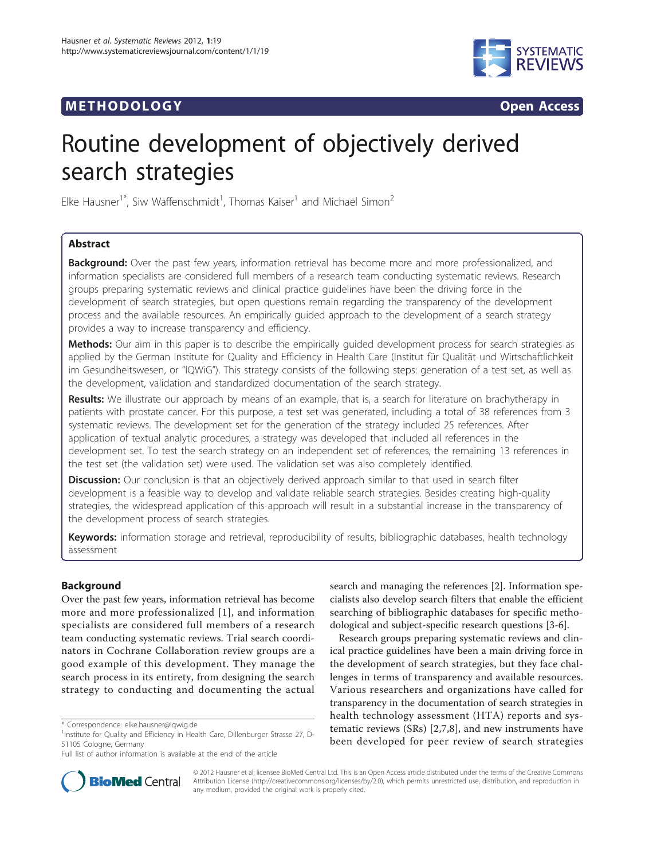# **METHODOLOGY Open Access**



# Routine development of objectively derived search strategies

Elke Hausner<sup>1\*</sup>, Siw Waffenschmidt<sup>1</sup>, Thomas Kaiser<sup>1</sup> and Michael Simon<sup>2</sup>

# Abstract

Background: Over the past few years, information retrieval has become more and more professionalized, and information specialists are considered full members of a research team conducting systematic reviews. Research groups preparing systematic reviews and clinical practice guidelines have been the driving force in the development of search strategies, but open questions remain regarding the transparency of the development process and the available resources. An empirically guided approach to the development of a search strategy provides a way to increase transparency and efficiency.

Methods: Our aim in this paper is to describe the empirically guided development process for search strategies as applied by the German Institute for Quality and Efficiency in Health Care (Institut für Qualität und Wirtschaftlichkeit im Gesundheitswesen, or "IQWiG"). This strategy consists of the following steps: generation of a test set, as well as the development, validation and standardized documentation of the search strategy.

Results: We illustrate our approach by means of an example, that is, a search for literature on brachytherapy in patients with prostate cancer. For this purpose, a test set was generated, including a total of 38 references from 3 systematic reviews. The development set for the generation of the strategy included 25 references. After application of textual analytic procedures, a strategy was developed that included all references in the development set. To test the search strategy on an independent set of references, the remaining 13 references in the test set (the validation set) were used. The validation set was also completely identified.

Discussion: Our conclusion is that an objectively derived approach similar to that used in search filter development is a feasible way to develop and validate reliable search strategies. Besides creating high-quality strategies, the widespread application of this approach will result in a substantial increase in the transparency of the development process of search strategies.

Keywords: information storage and retrieval, reproducibility of results, bibliographic databases, health technology assessment

# Background

Over the past few years, information retrieval has become more and more professionalized [[1](#page-8-0)], and information specialists are considered full members of a research team conducting systematic reviews. Trial search coordinators in Cochrane Collaboration review groups are a good example of this development. They manage the search process in its entirety, from designing the search strategy to conducting and documenting the actual

search and managing the references [[2\]](#page-8-0). Information specialists also develop search filters that enable the efficient searching of bibliographic databases for specific methodological and subject-specific research questions [\[3](#page-8-0)-[6\]](#page-8-0).

Research groups preparing systematic reviews and clinical practice guidelines have been a main driving force in the development of search strategies, but they face challenges in terms of transparency and available resources. Various researchers and organizations have called for transparency in the documentation of search strategies in health technology assessment (HTA) reports and systematic reviews (SRs) [\[2](#page-8-0),[7,8](#page-8-0)], and new instruments have been developed for peer review of search strategies



© 2012 Hausner et al; licensee BioMed Central Ltd. This is an Open Access article distributed under the terms of the Creative Commons Attribution License [\(http://creativecommons.org/licenses/by/2.0](http://creativecommons.org/licenses/by/2.0)), which permits unrestricted use, distribution, and reproduction in any medium, provided the original work is properly cited.

<sup>\*</sup> Correspondence: [elke.hausner@iqwig.de](mailto:elke.hausner@iqwig.de)

<sup>&</sup>lt;sup>1</sup>Institute for Quality and Efficiency in Health Care, Dillenburger Strasse 27, D-51105 Cologne, Germany

Full list of author information is available at the end of the article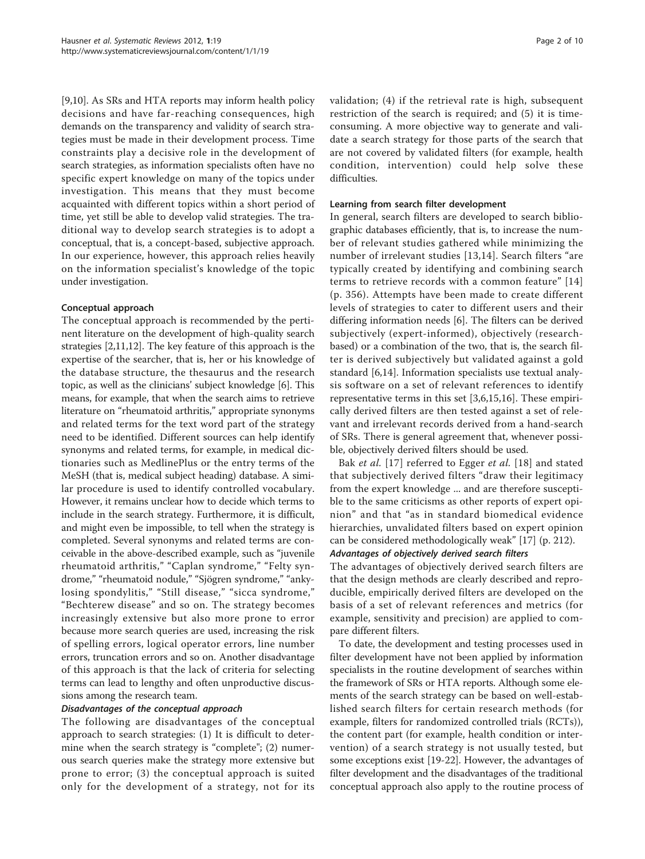[[9,10\]](#page-8-0). As SRs and HTA reports may inform health policy decisions and have far-reaching consequences, high demands on the transparency and validity of search strategies must be made in their development process. Time constraints play a decisive role in the development of search strategies, as information specialists often have no specific expert knowledge on many of the topics under investigation. This means that they must become acquainted with different topics within a short period of time, yet still be able to develop valid strategies. The traditional way to develop search strategies is to adopt a conceptual, that is, a concept-based, subjective approach. In our experience, however, this approach relies heavily on the information specialist's knowledge of the topic under investigation.

# Conceptual approach

The conceptual approach is recommended by the pertinent literature on the development of high-quality search strategies [[2,11,12\]](#page-8-0). The key feature of this approach is the expertise of the searcher, that is, her or his knowledge of the database structure, the thesaurus and the research topic, as well as the clinicians' subject knowledge [[6\]](#page-8-0). This means, for example, that when the search aims to retrieve literature on "rheumatoid arthritis," appropriate synonyms and related terms for the text word part of the strategy need to be identified. Different sources can help identify synonyms and related terms, for example, in medical dictionaries such as MedlinePlus or the entry terms of the MeSH (that is, medical subject heading) database. A similar procedure is used to identify controlled vocabulary. However, it remains unclear how to decide which terms to include in the search strategy. Furthermore, it is difficult, and might even be impossible, to tell when the strategy is completed. Several synonyms and related terms are conceivable in the above-described example, such as "juvenile rheumatoid arthritis," "Caplan syndrome," "Felty syndrome," "rheumatoid nodule," "Sjögren syndrome," "ankylosing spondylitis," "Still disease," "sicca syndrome," "Bechterew disease" and so on. The strategy becomes increasingly extensive but also more prone to error because more search queries are used, increasing the risk of spelling errors, logical operator errors, line number errors, truncation errors and so on. Another disadvantage of this approach is that the lack of criteria for selecting terms can lead to lengthy and often unproductive discussions among the research team.

# Disadvantages of the conceptual approach

The following are disadvantages of the conceptual approach to search strategies: (1) It is difficult to determine when the search strategy is "complete"; (2) numerous search queries make the strategy more extensive but prone to error; (3) the conceptual approach is suited only for the development of a strategy, not for its validation; (4) if the retrieval rate is high, subsequent restriction of the search is required; and (5) it is timeconsuming. A more objective way to generate and validate a search strategy for those parts of the search that are not covered by validated filters (for example, health condition, intervention) could help solve these difficulties.

# Learning from search filter development

In general, search filters are developed to search bibliographic databases efficiently, that is, to increase the number of relevant studies gathered while minimizing the number of irrelevant studies [[13,14\]](#page-8-0). Search filters "are typically created by identifying and combining search terms to retrieve records with a common feature" [[14](#page-8-0)] (p. 356). Attempts have been made to create different levels of strategies to cater to different users and their differing information needs [[6\]](#page-8-0). The filters can be derived subjectively (expert-informed), objectively (researchbased) or a combination of the two, that is, the search filter is derived subjectively but validated against a gold standard [\[6,14](#page-8-0)]. Information specialists use textual analysis software on a set of relevant references to identify representative terms in this set [[3,6,15,16\]](#page-8-0). These empirically derived filters are then tested against a set of relevant and irrelevant records derived from a hand-search of SRs. There is general agreement that, whenever possible, objectively derived filters should be used.

Bak et al. [[17](#page-8-0)] referred to Egger et al. [\[18\]](#page-8-0) and stated that subjectively derived filters "draw their legitimacy from the expert knowledge ... and are therefore susceptible to the same criticisms as other reports of expert opinion" and that "as in standard biomedical evidence hierarchies, unvalidated filters based on expert opinion can be considered methodologically weak" [\[17](#page-8-0)] (p. 212).

# Advantages of objectively derived search filters

The advantages of objectively derived search filters are that the design methods are clearly described and reproducible, empirically derived filters are developed on the basis of a set of relevant references and metrics (for example, sensitivity and precision) are applied to compare different filters.

To date, the development and testing processes used in filter development have not been applied by information specialists in the routine development of searches within the framework of SRs or HTA reports. Although some elements of the search strategy can be based on well-established search filters for certain research methods (for example, filters for randomized controlled trials (RCTs)), the content part (for example, health condition or intervention) of a search strategy is not usually tested, but some exceptions exist [[19](#page-8-0)-[22\]](#page-8-0). However, the advantages of filter development and the disadvantages of the traditional conceptual approach also apply to the routine process of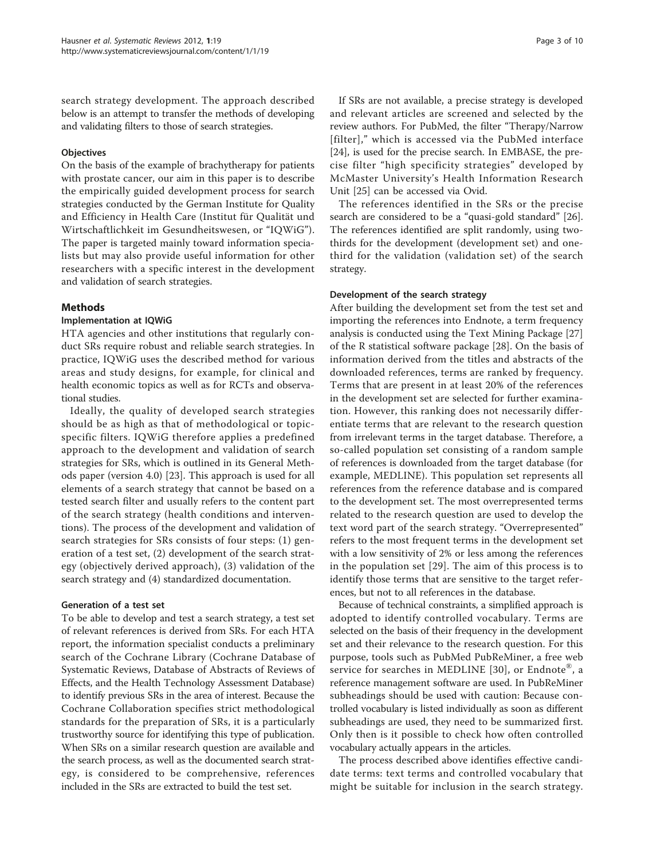search strategy development. The approach described below is an attempt to transfer the methods of developing and validating filters to those of search strategies.

#### **Objectives**

On the basis of the example of brachytherapy for patients with prostate cancer, our aim in this paper is to describe the empirically guided development process for search strategies conducted by the German Institute for Quality and Efficiency in Health Care (Institut für Qualität und Wirtschaftlichkeit im Gesundheitswesen, or "IQWiG"). The paper is targeted mainly toward information specialists but may also provide useful information for other researchers with a specific interest in the development and validation of search strategies.

# Methods

#### Implementation at IQWiG

HTA agencies and other institutions that regularly conduct SRs require robust and reliable search strategies. In practice, IQWiG uses the described method for various areas and study designs, for example, for clinical and health economic topics as well as for RCTs and observational studies.

Ideally, the quality of developed search strategies should be as high as that of methodological or topicspecific filters. IQWiG therefore applies a predefined approach to the development and validation of search strategies for SRs, which is outlined in its General Methods paper (version 4.0) [\[23\]](#page-8-0). This approach is used for all elements of a search strategy that cannot be based on a tested search filter and usually refers to the content part of the search strategy (health conditions and interventions). The process of the development and validation of search strategies for SRs consists of four steps: (1) generation of a test set, (2) development of the search strategy (objectively derived approach), (3) validation of the search strategy and (4) standardized documentation.

#### Generation of a test set

To be able to develop and test a search strategy, a test set of relevant references is derived from SRs. For each HTA report, the information specialist conducts a preliminary search of the Cochrane Library (Cochrane Database of Systematic Reviews, Database of Abstracts of Reviews of Effects, and the Health Technology Assessment Database) to identify previous SRs in the area of interest. Because the Cochrane Collaboration specifies strict methodological standards for the preparation of SRs, it is a particularly trustworthy source for identifying this type of publication. When SRs on a similar research question are available and the search process, as well as the documented search strategy, is considered to be comprehensive, references included in the SRs are extracted to build the test set.

If SRs are not available, a precise strategy is developed and relevant articles are screened and selected by the review authors. For PubMed, the filter "Therapy/Narrow [filter]," which is accessed via the PubMed interface [[24\]](#page-8-0), is used for the precise search. In EMBASE, the precise filter "high specificity strategies" developed by McMaster University's Health Information Research Unit [\[25](#page-8-0)] can be accessed via Ovid.

The references identified in the SRs or the precise search are considered to be a "quasi-gold standard" [[26](#page-8-0)]. The references identified are split randomly, using twothirds for the development (development set) and onethird for the validation (validation set) of the search strategy.

#### Development of the search strategy

After building the development set from the test set and importing the references into Endnote, a term frequency analysis is conducted using the Text Mining Package [[27](#page-8-0)] of the R statistical software package [[28\]](#page-8-0). On the basis of information derived from the titles and abstracts of the downloaded references, terms are ranked by frequency. Terms that are present in at least 20% of the references in the development set are selected for further examination. However, this ranking does not necessarily differentiate terms that are relevant to the research question from irrelevant terms in the target database. Therefore, a so-called population set consisting of a random sample of references is downloaded from the target database (for example, MEDLINE). This population set represents all references from the reference database and is compared to the development set. The most overrepresented terms related to the research question are used to develop the text word part of the search strategy. "Overrepresented" refers to the most frequent terms in the development set with a low sensitivity of 2% or less among the references in the population set [\[29](#page-8-0)]. The aim of this process is to identify those terms that are sensitive to the target references, but not to all references in the database.

Because of technical constraints, a simplified approach is adopted to identify controlled vocabulary. Terms are selected on the basis of their frequency in the development set and their relevance to the research question. For this purpose, tools such as PubMed PubReMiner, a free web service for searches in MEDLINE [\[30\]](#page-8-0), or Endnote®, a reference management software are used. In PubReMiner subheadings should be used with caution: Because controlled vocabulary is listed individually as soon as different subheadings are used, they need to be summarized first. Only then is it possible to check how often controlled vocabulary actually appears in the articles.

The process described above identifies effective candidate terms: text terms and controlled vocabulary that might be suitable for inclusion in the search strategy.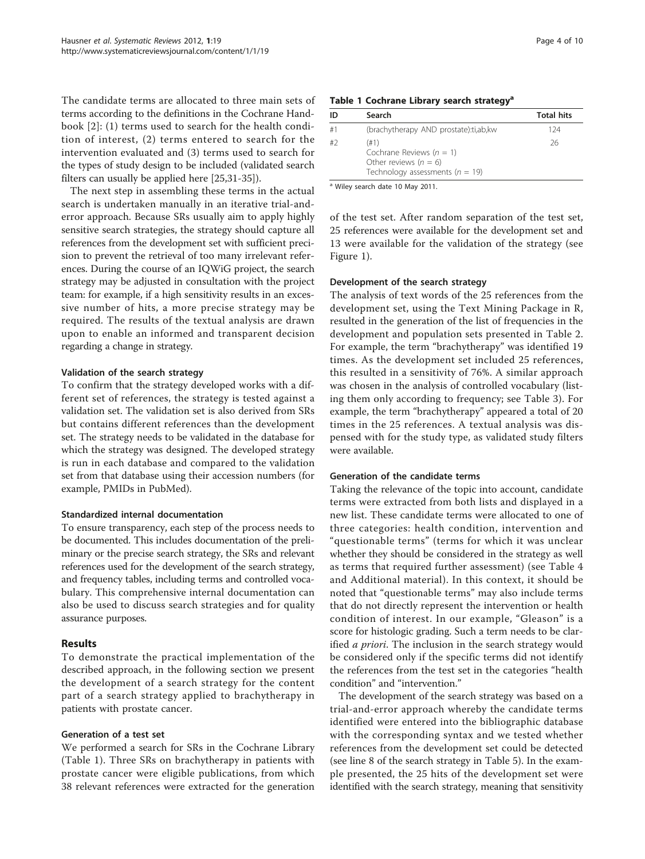The candidate terms are allocated to three main sets of terms according to the definitions in the Cochrane Handbook [[2\]](#page-8-0): (1) terms used to search for the health condition of interest, (2) terms entered to search for the intervention evaluated and (3) terms used to search for the types of study design to be included (validated search filters can usually be applied here [[25,31-35\]](#page-8-0)).

The next step in assembling these terms in the actual search is undertaken manually in an iterative trial-anderror approach. Because SRs usually aim to apply highly sensitive search strategies, the strategy should capture all references from the development set with sufficient precision to prevent the retrieval of too many irrelevant references. During the course of an IQWiG project, the search strategy may be adjusted in consultation with the project team: for example, if a high sensitivity results in an excessive number of hits, a more precise strategy may be required. The results of the textual analysis are drawn upon to enable an informed and transparent decision regarding a change in strategy.

#### Validation of the search strategy

To confirm that the strategy developed works with a different set of references, the strategy is tested against a validation set. The validation set is also derived from SRs but contains different references than the development set. The strategy needs to be validated in the database for which the strategy was designed. The developed strategy is run in each database and compared to the validation set from that database using their accession numbers (for example, PMIDs in PubMed).

#### Standardized internal documentation

To ensure transparency, each step of the process needs to be documented. This includes documentation of the preliminary or the precise search strategy, the SRs and relevant references used for the development of the search strategy, and frequency tables, including terms and controlled vocabulary. This comprehensive internal documentation can also be used to discuss search strategies and for quality assurance purposes.

# Results

To demonstrate the practical implementation of the described approach, in the following section we present the development of a search strategy for the content part of a search strategy applied to brachytherapy in patients with prostate cancer.

#### Generation of a test set

We performed a search for SRs in the Cochrane Library (Table 1). Three SRs on brachytherapy in patients with prostate cancer were eligible publications, from which 38 relevant references were extracted for the generation

#### Table 1 Cochrane Library search strategy<sup>a</sup>

| ID | Search                                                                                                 | <b>Total hits</b> |
|----|--------------------------------------------------------------------------------------------------------|-------------------|
| #1 | (brachytherapy AND prostate):ti,ab,kw                                                                  | 124               |
| #2 | (#1)<br>Cochrane Reviews ( $n = 1$ )<br>Other reviews $(n = 6)$<br>Technology assessments ( $n = 19$ ) | 26                |

a Wiley search date 10 May 2011.

of the test set. After random separation of the test set, 25 references were available for the development set and 13 were available for the validation of the strategy (see Figure [1](#page-4-0)).

#### Development of the search strategy

The analysis of text words of the 25 references from the development set, using the Text Mining Package in R, resulted in the generation of the list of frequencies in the development and population sets presented in Table [2](#page-5-0). For example, the term "brachytherapy" was identified 19 times. As the development set included 25 references, this resulted in a sensitivity of 76%. A similar approach was chosen in the analysis of controlled vocabulary (listing them only according to frequency; see Table [3\)](#page-6-0). For example, the term "brachytherapy" appeared a total of 20 times in the 25 references. A textual analysis was dispensed with for the study type, as validated study filters were available.

#### Generation of the candidate terms

Taking the relevance of the topic into account, candidate terms were extracted from both lists and displayed in a new list. These candidate terms were allocated to one of three categories: health condition, intervention and "questionable terms" (terms for which it was unclear whether they should be considered in the strategy as well as terms that required further assessment) (see Table [4](#page-6-0) and Additional material). In this context, it should be noted that "questionable terms" may also include terms that do not directly represent the intervention or health condition of interest. In our example, "Gleason" is a score for histologic grading. Such a term needs to be clarified a priori. The inclusion in the search strategy would be considered only if the specific terms did not identify the references from the test set in the categories "health condition" and "intervention."

The development of the search strategy was based on a trial-and-error approach whereby the candidate terms identified were entered into the bibliographic database with the corresponding syntax and we tested whether references from the development set could be detected (see line 8 of the search strategy in Table [5](#page-7-0)). In the example presented, the 25 hits of the development set were identified with the search strategy, meaning that sensitivity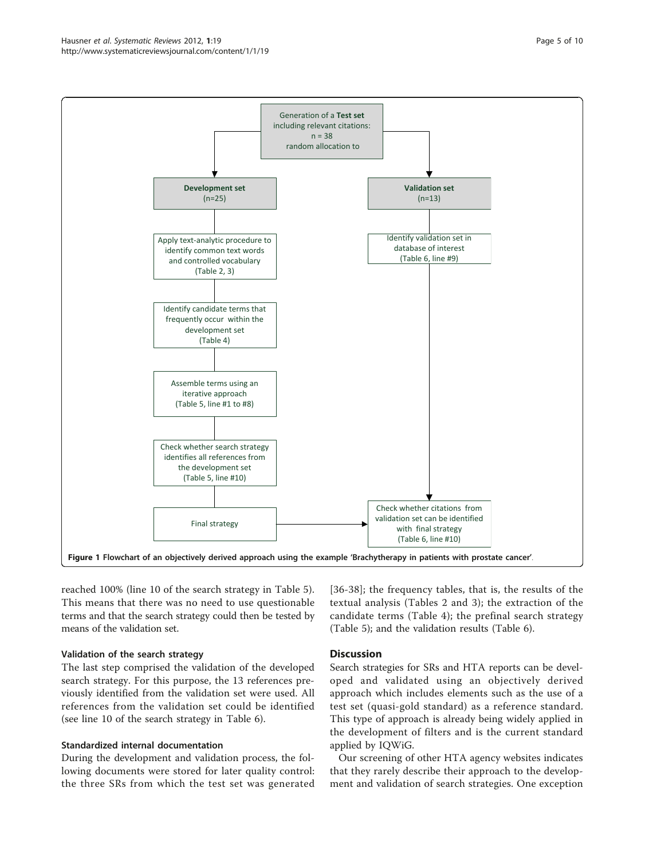<span id="page-4-0"></span>

reached 100% (line 10 of the search strategy in Table [5](#page-7-0)). This means that there was no need to use questionable terms and that the search strategy could then be tested by means of the validation set.

#### Validation of the search strategy

The last step comprised the validation of the developed search strategy. For this purpose, the 13 references previously identified from the validation set were used. All references from the validation set could be identified (see line 10 of the search strategy in Table [6](#page-7-0)).

#### Standardized internal documentation

During the development and validation process, the following documents were stored for later quality control: the three SRs from which the test set was generated [[36](#page-8-0)-[38](#page-8-0)]; the frequency tables, that is, the results of the textual analysis (Tables [2](#page-5-0) and [3\)](#page-6-0); the extraction of the candidate terms (Table [4\)](#page-6-0); the prefinal search strategy (Table [5\)](#page-7-0); and the validation results (Table [6\)](#page-7-0).

#### **Discussion**

Search strategies for SRs and HTA reports can be developed and validated using an objectively derived approach which includes elements such as the use of a test set (quasi-gold standard) as a reference standard. This type of approach is already being widely applied in the development of filters and is the current standard applied by IQWiG.

Our screening of other HTA agency websites indicates that they rarely describe their approach to the development and validation of search strategies. One exception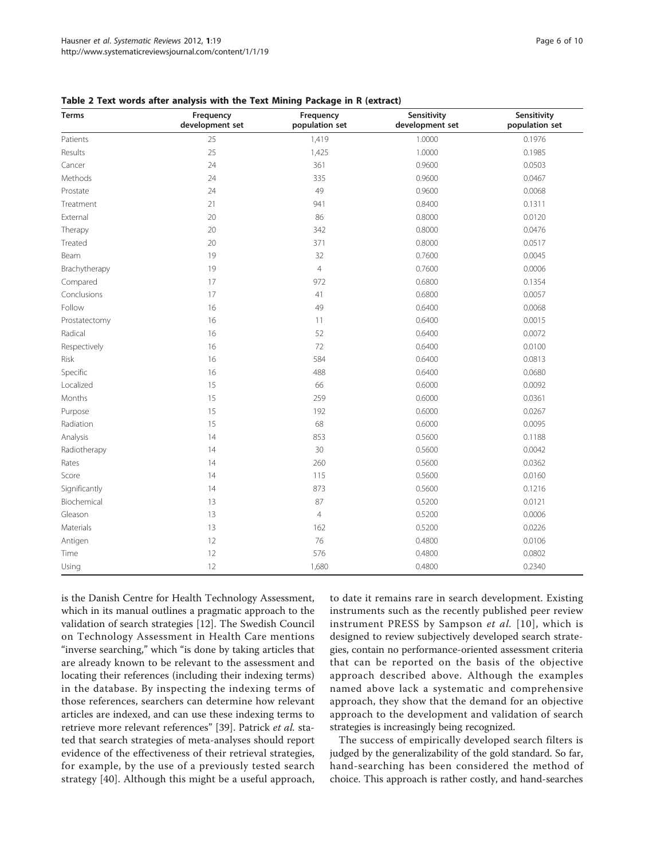| Terms         | Frequency<br>development set | Frequency<br>population set | Sensitivity<br>development set | Sensitivity<br>population set |
|---------------|------------------------------|-----------------------------|--------------------------------|-------------------------------|
| Patients      | 25                           | 1,419                       | 1.0000                         | 0.1976                        |
| Results       | 25                           | 1,425                       | 1.0000                         | 0.1985                        |
| Cancer        | 24                           | 361                         | 0.9600                         | 0.0503                        |
| Methods       | 24                           | 335                         | 0.9600                         | 0.0467                        |
| Prostate      | 24                           | 49                          | 0.9600                         | 0.0068                        |
| Treatment     | 21                           | 941                         | 0.8400                         | 0.1311                        |
| External      | 20                           | 86                          | 0.8000                         | 0.0120                        |
| Therapy       | 20                           | 342                         | 0.8000                         | 0.0476                        |
| Treated       | 20                           | 371                         | 0.8000                         | 0.0517                        |
| Beam          | 19                           | 32                          | 0.7600                         | 0.0045                        |
| Brachytherapy | 19                           | $\overline{4}$              | 0.7600                         | 0.0006                        |
| Compared      | 17                           | 972                         | 0.6800                         | 0.1354                        |
| Conclusions   | 17                           | 41                          | 0.6800                         | 0.0057                        |
| Follow        | 16                           | 49                          | 0.6400                         | 0.0068                        |
| Prostatectomy | 16                           | 11                          | 0.6400                         | 0.0015                        |
| Radical       | 16                           | 52                          | 0.6400                         | 0.0072                        |
| Respectively  | 16                           | 72                          | 0.6400                         | 0.0100                        |
| Risk          | 16                           | 584                         | 0.6400                         | 0.0813                        |
| Specific      | 16                           | 488                         | 0.6400                         | 0.0680                        |
| Localized     | 15                           | 66                          | 0.6000                         | 0.0092                        |
| Months        | 15                           | 259                         | 0.6000                         | 0.0361                        |
| Purpose       | 15                           | 192                         | 0.6000                         | 0.0267                        |
| Radiation     | 15                           | 68                          | 0.6000                         | 0.0095                        |
| Analysis      | 14                           | 853                         | 0.5600                         | 0.1188                        |
| Radiotherapy  | 14                           | 30                          | 0.5600                         | 0.0042                        |
| Rates         | 14                           | 260                         | 0.5600                         | 0.0362                        |
| Score         | 14                           | 115                         | 0.5600                         | 0.0160                        |
| Significantly | 14                           | 873                         | 0.5600                         | 0.1216                        |
| Biochemical   | 13                           | 87                          | 0.5200                         | 0.0121                        |
| Gleason       | 13                           | $\overline{4}$              | 0.5200                         | 0.0006                        |
| Materials     | 13                           | 162                         | 0.5200                         | 0.0226                        |
| Antigen       | 12                           | 76                          | 0.4800                         | 0.0106                        |
| Time          | 12                           | 576                         | 0.4800                         | 0.0802                        |
| Using         | 12                           | 1,680                       | 0.4800                         | 0.2340                        |

<span id="page-5-0"></span>Table 2 Text words after analysis with the Text Mining Package in R (extract)

is the Danish Centre for Health Technology Assessment, which in its manual outlines a pragmatic approach to the validation of search strategies [[12](#page-8-0)]. The Swedish Council on Technology Assessment in Health Care mentions "inverse searching," which "is done by taking articles that are already known to be relevant to the assessment and locating their references (including their indexing terms) in the database. By inspecting the indexing terms of those references, searchers can determine how relevant articles are indexed, and can use these indexing terms to retrieve more relevant references" [\[39](#page-9-0)]. Patrick et al. stated that search strategies of meta-analyses should report evidence of the effectiveness of their retrieval strategies, for example, by the use of a previously tested search strategy [[40\]](#page-9-0). Although this might be a useful approach, to date it remains rare in search development. Existing instruments such as the recently published peer review instrument PRESS by Sampson et al. [[10](#page-8-0)], which is designed to review subjectively developed search strategies, contain no performance-oriented assessment criteria that can be reported on the basis of the objective approach described above. Although the examples named above lack a systematic and comprehensive approach, they show that the demand for an objective approach to the development and validation of search strategies is increasingly being recognized.

The success of empirically developed search filters is judged by the generalizability of the gold standard. So far, hand-searching has been considered the method of choice. This approach is rather costly, and hand-searches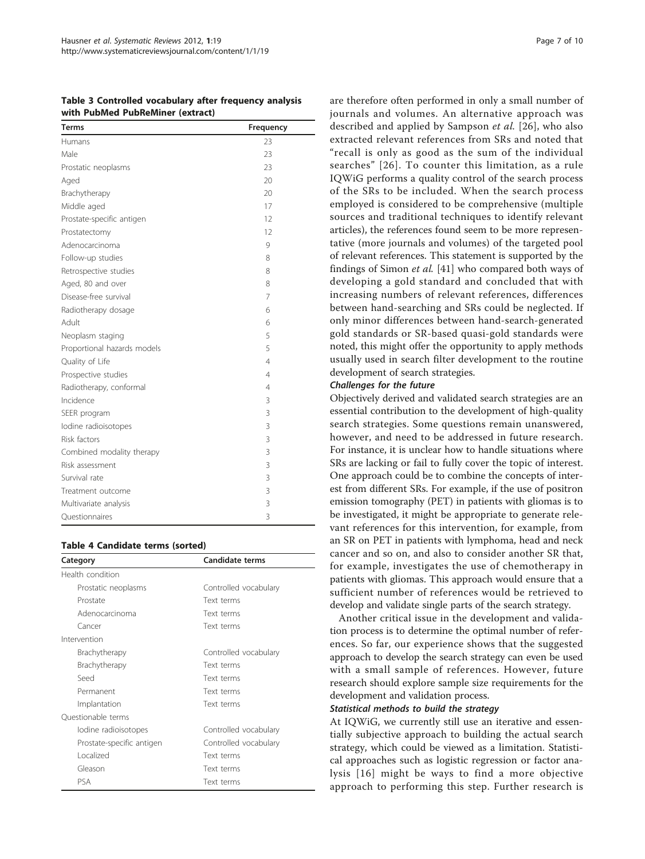<span id="page-6-0"></span>Table 3 Controlled vocabulary after frequency analysis with PubMed PubReMiner (extract)

| <b>Terms</b>                | Frequency      |
|-----------------------------|----------------|
| Humans                      | 23             |
| Male                        | 23             |
| Prostatic neoplasms         | 23             |
| Aged                        | 20             |
| Brachytherapy               | 20             |
| Middle aged                 | 17             |
| Prostate-specific antigen   | 12             |
| Prostatectomy               | 12             |
| Adenocarcinoma              | 9              |
| Follow-up studies           | 8              |
| Retrospective studies       | 8              |
| Aged, 80 and over           | 8              |
| Disease-free survival       | 7              |
| Radiotherapy dosage         | 6              |
| Adult                       | 6              |
| Neoplasm staging            | 5              |
| Proportional hazards models | 5              |
| Quality of Life             | 4              |
| Prospective studies         | 4              |
| Radiotherapy, conformal     | $\overline{4}$ |
| Incidence                   | 3              |
| SEER program                | 3              |
| lodine radioisotopes        | 3              |
| Risk factors                | 3              |
| Combined modality therapy   | 3              |
| Risk assessment             | 3              |
| Survival rate               | 3              |
| Treatment outcome           | 3              |
| Multivariate analysis       | 3              |
| Questionnaires              | 3              |

#### Table 4 Candidate terms (sorted)

| Category                  | Candidate terms       |
|---------------------------|-----------------------|
| Health condition          |                       |
| Prostatic neoplasms       | Controlled vocabulary |
| Prostate                  | Text terms            |
| Adenocarcinoma            | Text terms            |
| Cancer                    | Text terms            |
| Intervention              |                       |
| Brachytherapy             | Controlled vocabulary |
| Brachytherapy             | Text terms            |
| Seed                      | Text terms            |
| Permanent                 | Text terms            |
| Implantation              | Text terms            |
| Ouestionable terms        |                       |
| lodine radioisotopes      | Controlled vocabulary |
| Prostate-specific antigen | Controlled vocabulary |
| Localized                 | Text terms            |
| Gleason                   | Text terms            |
| PSA                       | Text terms            |

are therefore often performed in only a small number of journals and volumes. An alternative approach was described and applied by Sampson et al. [[26\]](#page-8-0), who also extracted relevant references from SRs and noted that "recall is only as good as the sum of the individual searches" [[26\]](#page-8-0). To counter this limitation, as a rule IQWiG performs a quality control of the search process of the SRs to be included. When the search process employed is considered to be comprehensive (multiple sources and traditional techniques to identify relevant articles), the references found seem to be more representative (more journals and volumes) of the targeted pool of relevant references. This statement is supported by the findings of Simon et al. [[41\]](#page-9-0) who compared both ways of developing a gold standard and concluded that with increasing numbers of relevant references, differences between hand-searching and SRs could be neglected. If only minor differences between hand-search-generated gold standards or SR-based quasi-gold standards were noted, this might offer the opportunity to apply methods usually used in search filter development to the routine development of search strategies.

#### Challenges for the future

Objectively derived and validated search strategies are an essential contribution to the development of high-quality search strategies. Some questions remain unanswered, however, and need to be addressed in future research. For instance, it is unclear how to handle situations where SRs are lacking or fail to fully cover the topic of interest. One approach could be to combine the concepts of interest from different SRs. For example, if the use of positron emission tomography (PET) in patients with gliomas is to be investigated, it might be appropriate to generate relevant references for this intervention, for example, from an SR on PET in patients with lymphoma, head and neck cancer and so on, and also to consider another SR that, for example, investigates the use of chemotherapy in patients with gliomas. This approach would ensure that a sufficient number of references would be retrieved to develop and validate single parts of the search strategy.

Another critical issue in the development and validation process is to determine the optimal number of references. So far, our experience shows that the suggested approach to develop the search strategy can even be used with a small sample of references. However, future research should explore sample size requirements for the development and validation process.

#### Statistical methods to build the strategy

At IQWiG, we currently still use an iterative and essentially subjective approach to building the actual search strategy, which could be viewed as a limitation. Statistical approaches such as logistic regression or factor analysis [[16](#page-8-0)] might be ways to find a more objective approach to performing this step. Further research is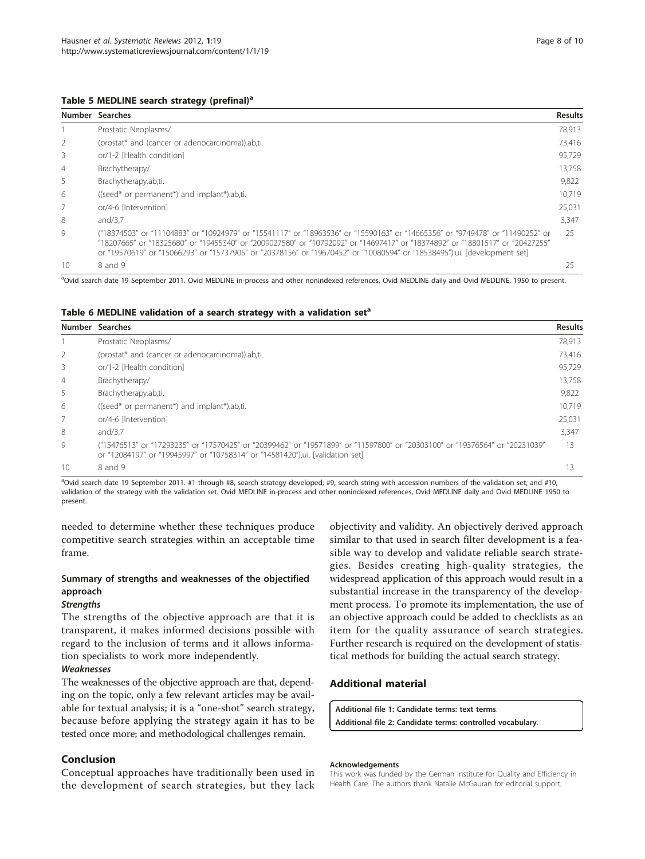#### <span id="page-7-0"></span>Table 5 MEDLINE search strategy (prefinal)<sup>a</sup>

|                | Number Searches                                                                                                                                                                                                                                                                                                                                                                           | <b>Results</b> |
|----------------|-------------------------------------------------------------------------------------------------------------------------------------------------------------------------------------------------------------------------------------------------------------------------------------------------------------------------------------------------------------------------------------------|----------------|
|                | Prostatic Neoplasms/                                                                                                                                                                                                                                                                                                                                                                      | 78,913         |
| 2              | (prostat* and (cancer or adenocarcinoma)).ab.ti.                                                                                                                                                                                                                                                                                                                                          | 73,416         |
| 3              | or/1-2 [Health condition]                                                                                                                                                                                                                                                                                                                                                                 | 95.729         |
| $\overline{4}$ | Brachytherapy/                                                                                                                                                                                                                                                                                                                                                                            | 13,758         |
| 5              | Brachytherapy.ab,ti.                                                                                                                                                                                                                                                                                                                                                                      | 9,822          |
| 6              | ((seed* or permanent*) and implant*).ab,ti.                                                                                                                                                                                                                                                                                                                                               | 10.719         |
|                | or/4-6 [Intervention]                                                                                                                                                                                                                                                                                                                                                                     | 25.031         |
| 8              | and/3.7                                                                                                                                                                                                                                                                                                                                                                                   | 3,347          |
| 9              | ("18374503" or "11104883" or "10924979" or "15541117" or "18963536" or "15590163" or "14665356" or "9749478" or "11490252" or<br>"18207665" or "18325680" or "19455340" or "2009027580" or "10792092" or "14697417" or "18374892" or "18801517" or "20427255"<br>or "19570619" or "15066293" or "15737905" or "20378156" or "19670452" or "10080594" or "18538495").ui. [development set] | 25             |
| 10             | 8 and 9                                                                                                                                                                                                                                                                                                                                                                                   | 25             |

<sup>a</sup>Ovid search date 19 September 2011. Ovid MEDLINE in-process and other nonindexed references, Ovid MEDLINE daily and Ovid MEDLINE, 1950 to present

|                | Number Searches                                                                                                                                                                                              | <b>Results</b> |
|----------------|--------------------------------------------------------------------------------------------------------------------------------------------------------------------------------------------------------------|----------------|
|                | Prostatic Neoplasms/                                                                                                                                                                                         | 78.913         |
| 2              | (prostat* and (cancer or adenocarcinoma)).ab.ti.                                                                                                                                                             | 73,416         |
| 3              | or/1-2 [Health condition]                                                                                                                                                                                    | 95.729         |
| $\overline{4}$ | Brachytherapy/                                                                                                                                                                                               | 13.758         |
| 5              | Brachytherapy.ab,ti.                                                                                                                                                                                         | 9,822          |
| 6              | ((seed* or permanent*) and implant*).ab,ti.                                                                                                                                                                  | 10.719         |
| 7              | or/4-6 [Intervention]                                                                                                                                                                                        | 25.031         |
| 8              | and/3.7                                                                                                                                                                                                      | 3,347          |
| 9              | ("15476513" or "17293235" or "17570425" or "20399462" or "19571899" or "11597800" or "20303100" or "19376564" or "20231039"<br>or "12084197" or "19945997" or "10758314" or "14581420").ui. [validation set] | 13             |
| 10             | 8 and 9                                                                                                                                                                                                      | 13             |

a Ovid search date 19 September 2011. #1 through #8, search strategy developed; #9, search string with accession numbers of the validation set; and #10, validation of the strategy with the validation set. Ovid MEDLINE in-process and other nonindexed references, Ovid MEDLINE daily and Ovid MEDLINE 1950 to present.

needed to determine whether these techniques produce competitive search strategies within an acceptable time frame.

# Summary of strengths and weaknesses of the objectified approach

#### **Strengths**

The strengths of the objective approach are that it is transparent, it makes informed decisions possible with regard to the inclusion of terms and it allows information specialists to work more independently.

#### Weaknesses

The weaknesses of the objective approach are that, depending on the topic, only a few relevant articles may be available for textual analysis; it is a "one-shot" search strategy, because before applying the strategy again it has to be tested once more; and methodological challenges remain.

# Conclusion

Conceptual approaches have traditionally been used in the development of search strategies, but they lack

objectivity and validity. An objectively derived approach similar to that used in search filter development is a feasible way to develop and validate reliable search strategies. Besides creating high-quality strategies, the widespread application of this approach would result in a substantial increase in the transparency of the development process. To promote its implementation, the use of an objective approach could be added to checklists as an item for the quality assurance of search strategies. Further research is required on the development of statistical methods for building the actual search strategy.

# Additional material

[Additional file 1: C](http://www.biomedcentral.com/content/supplementary/2046-4053-1-19-S1.PDF)andidate terms: text terms. [Additional file 2: C](http://www.biomedcentral.com/content/supplementary/2046-4053-1-19-S2.PDF)andidate terms: controlled vocabulary.

#### Acknowledgements

This work was funded by the German Institute for Quality and Efficiency in Health Care. The authors thank Natalie McGauran for editorial support.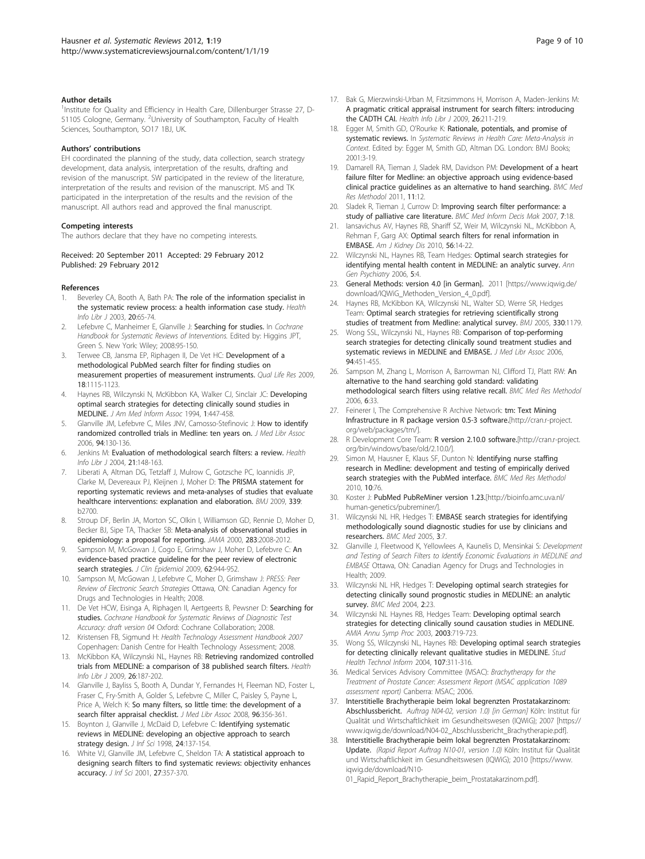#### <span id="page-8-0"></span>Author details

<sup>1</sup>Institute for Quality and Efficiency in Health Care, Dillenburger Strasse 27, D-51105 Cologne, Germany. <sup>2</sup>University of Southampton, Faculty of Health Sciences, Southampton, SO17 1BJ, UK.

#### Authors' contributions

EH coordinated the planning of the study, data collection, search strategy development, data analysis, interpretation of the results, drafting and revision of the manuscript. SW participated in the review of the literature, interpretation of the results and revision of the manuscript. MS and TK participated in the interpretation of the results and the revision of the manuscript. All authors read and approved the final manuscript.

#### Competing interests

The authors declare that they have no competing interests.

Received: 20 September 2011 Accepted: 29 February 2012 Published: 29 February 2012

#### References

- 1. Beverley CA, Booth A, Bath PA: [The role of the information specialist in](http://www.ncbi.nlm.nih.gov/pubmed/12786905?dopt=Abstract) [the systematic review process: a health information case study.](http://www.ncbi.nlm.nih.gov/pubmed/12786905?dopt=Abstract) Health Info Libr J 2003, 20:65-74.
- Lefebvre C, Manheimer E, Glanville J: Searching for studies. In Cochrane Handbook for Systematic Reviews of Interventions. Edited by: Higgins JPT, Green S. New York: Wiley; 2008:95-150.
- 3. Terwee CB, Jansma EP, Riphagen II, De Vet HC: [Development of a](http://www.ncbi.nlm.nih.gov/pubmed/19711195?dopt=Abstract) [methodological PubMed search filter for finding studies on](http://www.ncbi.nlm.nih.gov/pubmed/19711195?dopt=Abstract) [measurement properties of measurement instruments.](http://www.ncbi.nlm.nih.gov/pubmed/19711195?dopt=Abstract) Qual Life Res 2009, 18:1115-1123.
- 4. Haynes RB, Wilczynski N, McKibbon KA, Walker CJ, Sinclair JC: [Developing](http://www.ncbi.nlm.nih.gov/pubmed/7850570?dopt=Abstract) [optimal search strategies for detecting clinically sound studies in](http://www.ncbi.nlm.nih.gov/pubmed/7850570?dopt=Abstract) [MEDLINE.](http://www.ncbi.nlm.nih.gov/pubmed/7850570?dopt=Abstract) J Am Med Inform Assoc 1994, 1:447-458.
- 5. Glanville JM, Lefebvre C, Miles JNV, Camosso-Stefinovic J: [How to identify](http://www.ncbi.nlm.nih.gov/pubmed/16636704?dopt=Abstract) [randomized controlled trials in Medline: ten years on.](http://www.ncbi.nlm.nih.gov/pubmed/16636704?dopt=Abstract) J Med Libr Assoc 2006, 94:130-136.
- 6. Jenkins M: [Evaluation of methodological search filters: a review.](http://www.ncbi.nlm.nih.gov/pubmed/15318913?dopt=Abstract) Health Info Libr J 2004, 21:148-163.
- 7. Liberati A, Altman DG, Tetzlaff J, Mulrow C, Gotzsche PC, Ioannidis JP, Clarke M, Devereaux PJ, Kleijnen J, Moher D: [The PRISMA statement for](http://www.ncbi.nlm.nih.gov/pubmed/19622552?dopt=Abstract) [reporting systematic reviews and meta-analyses of studies that evaluate](http://www.ncbi.nlm.nih.gov/pubmed/19622552?dopt=Abstract) [healthcare interventions: explanation and elaboration.](http://www.ncbi.nlm.nih.gov/pubmed/19622552?dopt=Abstract) BMJ 2009, 339: b2700.
- Stroup DF, Berlin JA, Morton SC, Olkin I, Williamson GD, Rennie D, Moher D, Becker BJ, Sipe TA, Thacker SB: [Meta-analysis of observational studies in](http://www.ncbi.nlm.nih.gov/pubmed/10789670?dopt=Abstract) [epidemiology: a proposal for reporting.](http://www.ncbi.nlm.nih.gov/pubmed/10789670?dopt=Abstract) JAMA 2000, 283:2008-2012.
- Sampson M, McGowan J, Cogo E, Grimshaw J, Moher D, Lefebvre C: [An](http://www.ncbi.nlm.nih.gov/pubmed/19230612?dopt=Abstract) [evidence-based practice guideline for the peer review of electronic](http://www.ncbi.nlm.nih.gov/pubmed/19230612?dopt=Abstract) [search strategies.](http://www.ncbi.nlm.nih.gov/pubmed/19230612?dopt=Abstract) J Clin Epidemiol 2009, 62:944-952.
- 10. Sampson M, McGowan J, Lefebvre C, Moher D, Grimshaw J: PRESS: Peer Review of Electronic Search Strategies Ottawa, ON: Canadian Agency for Drugs and Technologies in Health; 2008.
- 11. De Vet HCW, Eisinga A, Riphagen II, Aertgeerts B, Pewsner D: Searching for studies. Cochrane Handbook for Systematic Reviews of Diagnostic Test Accuracy: draft version 04 Oxford: Cochrane Collaboration; 2008.
- 12. Kristensen FB, Sigmund H: Health Technology Assessment Handbook 2007 Copenhagen: Danish Centre for Health Technology Assessment; 2008.
- 13. McKibbon KA, Wilczynski NL, Haynes RB: [Retrieving randomized controlled](http://www.ncbi.nlm.nih.gov/pubmed/19712211?dopt=Abstract) [trials from MEDLINE: a comparison of 38 published search filters.](http://www.ncbi.nlm.nih.gov/pubmed/19712211?dopt=Abstract) Health Info Libr J 2009, 26:187-202.
- 14. Glanville J, Bayliss S, Booth A, Dundar Y, Fernandes H, Fleeman ND, Foster L, Fraser C, Fry-Smith A, Golder S, Lefebvre C, Miller C, Paisley S, Payne L, Price A, Welch K: [So many filters, so little time: the development of a](http://www.ncbi.nlm.nih.gov/pubmed/18974813?dopt=Abstract) [search filter appraisal checklist.](http://www.ncbi.nlm.nih.gov/pubmed/18974813?dopt=Abstract) J Med Libr Assoc 2008, 96:356-361.
- 15. Boynton J, Glanville J, McDaid D, Lefebvre C: Identifying systematic reviews in MEDLINE: developing an objective approach to search strategy design. J Inf Sci 1998, 24:137-154.
- 16. White VJ, Glanville JM, Lefebvre C, Sheldon TA: A statistical approach to designing search filters to find systematic reviews: objectivity enhances accuracy. J Inf Sci 2001, 27:357-370.
- 17. Bak G, Mierzwinski-Urban M, Fitzsimmons H, Morrison A, Maden-Jenkins M: [A pragmatic critical appraisal instrument for search filters: introducing](http://www.ncbi.nlm.nih.gov/pubmed/19712213?dopt=Abstract) [the CADTH CAI.](http://www.ncbi.nlm.nih.gov/pubmed/19712213?dopt=Abstract) Health Info Libr J 2009, 26:211-219.
- 18. Egger M, Smith GD, O'Rourke K: Rationale, potentials, and promise of systematic reviews. In Systematic Reviews in Health Care: Meta-Analysis in Context. Edited by: Egger M, Smith GD, Altman DG. London: BMJ Books; 2001:3-19.
- 19. Damarell RA, Tieman J, Sladek RM, Davidson PM: [Development of a heart](http://www.ncbi.nlm.nih.gov/pubmed/21272371?dopt=Abstract) [failure filter for Medline: an objective approach using evidence-based](http://www.ncbi.nlm.nih.gov/pubmed/21272371?dopt=Abstract) [clinical practice guidelines as an alternative to hand searching.](http://www.ncbi.nlm.nih.gov/pubmed/21272371?dopt=Abstract) BMC Med Res Methodol 2011, 11:12.
- 20. Sladek R, Tieman J, Currow D: [Improving search filter performance: a](http://www.ncbi.nlm.nih.gov/pubmed/17597549?dopt=Abstract) [study of palliative care literature.](http://www.ncbi.nlm.nih.gov/pubmed/17597549?dopt=Abstract) BMC Med Inform Decis Mak 2007, 7:18.
- 21. Iansavichus AV, Haynes RB, Shariff SZ, Weir M, Wilczynski NL, McKibbon A, Rehman F, Garg AX: [Optimal search filters for renal information in](http://www.ncbi.nlm.nih.gov/pubmed/20231047?dopt=Abstract) [EMBASE.](http://www.ncbi.nlm.nih.gov/pubmed/20231047?dopt=Abstract) Am J Kidney Dis 2010, 56:14-22.
- 22. Wilczynski NL, Haynes RB, Team Hedges: [Optimal search strategies for](http://www.ncbi.nlm.nih.gov/pubmed/16556313?dopt=Abstract) [identifying mental health content in MEDLINE: an analytic survey.](http://www.ncbi.nlm.nih.gov/pubmed/16556313?dopt=Abstract) Ann Gen Psychiatry 2006, 5:4.
- 23. General Methods: version 4.0 [in German]. 2011 [\[https://www.iqwig.de/](https://www.iqwig.de/download/IQWiG_Methoden_Version_4_0.pdf) [download/IQWiG\\_Methoden\\_Version\\_4\\_0.pdf\]](https://www.iqwig.de/download/IQWiG_Methoden_Version_4_0.pdf).
- 24. Haynes RB, McKibbon KA, Wilczynski NL, Walter SD, Werre SR, Hedges Team: [Optimal search strategies for retrieving scientifically strong](http://www.ncbi.nlm.nih.gov/pubmed/15894554?dopt=Abstract) [studies of treatment from Medline: analytical survey.](http://www.ncbi.nlm.nih.gov/pubmed/15894554?dopt=Abstract) BMJ 2005, 330:1179.
- 25. Wong SSL, Wilczynski NL, Haynes RB: [Comparison of top-performing](http://www.ncbi.nlm.nih.gov/pubmed/17082841?dopt=Abstract) [search strategies for detecting clinically sound treatment studies and](http://www.ncbi.nlm.nih.gov/pubmed/17082841?dopt=Abstract) [systematic reviews in MEDLINE and EMBASE.](http://www.ncbi.nlm.nih.gov/pubmed/17082841?dopt=Abstract) J Med Libr Assoc 2006, 94:451-455.
- 26. Sampson M, Zhang L, Morrison A, Barrowman NJ, Clifford TJ, Platt RW: [An](http://www.ncbi.nlm.nih.gov/pubmed/16848895?dopt=Abstract) [alternative to the hand searching gold standard: validating](http://www.ncbi.nlm.nih.gov/pubmed/16848895?dopt=Abstract) [methodological search filters using relative recall.](http://www.ncbi.nlm.nih.gov/pubmed/16848895?dopt=Abstract) BMC Med Res Methodol 2006, 6:33.
- 27. Feinerer I, The Comprehensive R Archive Network: tm: Text Mining Infrastructure in R package version 0.5-3 software.[\[http://cran.r-project.](http://cran.r-project.org/web/packages/tm/) [org/web/packages/tm/](http://cran.r-project.org/web/packages/tm/)].
- 28. R Development Core Team: R version 2.10.0 software.[[http://cran.r-project.](http://cran.r-project.org/bin/windows/base/old/2.10.0/) [org/bin/windows/base/old/2.10.0/\]](http://cran.r-project.org/bin/windows/base/old/2.10.0/).
- 29. Simon M, Hausner E, Klaus SF, Dunton N: [Identifying nurse staffing](http://www.ncbi.nlm.nih.gov/pubmed/20731858?dopt=Abstract) [research in Medline: development and testing of empirically derived](http://www.ncbi.nlm.nih.gov/pubmed/20731858?dopt=Abstract) [search strategies with the PubMed interface.](http://www.ncbi.nlm.nih.gov/pubmed/20731858?dopt=Abstract) BMC Med Res Methodol 2010, 10:76.
- 30. Koster J: PubMed PubReMiner version 1.23.[\[http://bioinfo.amc.uva.nl/](http://bioinfo.amc.uva.nl/human-genetics/pubreminer/) [human-genetics/pubreminer/\]](http://bioinfo.amc.uva.nl/human-genetics/pubreminer/).
- 31. Wilczynski NL HR, Hedges T: [EMBASE search strategies for identifying](http://www.ncbi.nlm.nih.gov/pubmed/15796772?dopt=Abstract) [methodologically sound diagnostic studies for use by clinicians and](http://www.ncbi.nlm.nih.gov/pubmed/15796772?dopt=Abstract) [researchers.](http://www.ncbi.nlm.nih.gov/pubmed/15796772?dopt=Abstract) BMC Med 2005, 3:7.
- 32. Glanville J, Fleetwood K, Yellowlees A, Kaunelis D, Mensinkai S: Development and Testing of Search Filters to Identify Economic Evaluations in MEDLINE and EMBASE Ottawa, ON: Canadian Agency for Drugs and Technologies in Health; 2009.
- 33. Wilczynski NL HR, Hedges T: [Developing optimal search strategies for](http://www.ncbi.nlm.nih.gov/pubmed/15189561?dopt=Abstract) [detecting clinically sound prognostic studies in MEDLINE: an analytic](http://www.ncbi.nlm.nih.gov/pubmed/15189561?dopt=Abstract) [survey.](http://www.ncbi.nlm.nih.gov/pubmed/15189561?dopt=Abstract) BMC Med 2004, 2:23.
- 34. Wilczynski NL Haynes RB, Hedges Team: Developing optimal search strategies for detecting clinically sound causation studies in MEDLINE. AMIA Annu Symp Proc 2003, 2003:719-723.
- 35. Wong SS, Wilczynski NL, Haynes RB: [Developing optimal search strategies](http://www.ncbi.nlm.nih.gov/pubmed/15360825?dopt=Abstract) [for detecting clinically relevant qualitative studies in MEDLINE.](http://www.ncbi.nlm.nih.gov/pubmed/15360825?dopt=Abstract) Stud Health Technol Inform 2004, 107:311-316.
- 36. Medical Services Advisory Committee (MSAC): Brachytherapy for the Treatment of Prostate Cancer: Assessment Report (MSAC application 1089 assessment report) Canberra: MSAC; 2006.
- 37. Interstitielle Brachytherapie beim lokal begrenzten Prostatakarzinom: Abschlussbericht. Auftrag N04-02, version 1.0) [in German] Köln: Institut für Qualität und Wirtschaftlichkeit im Gesundheitswesen (IQWiG); 2007 [\[https://](https://www.iqwig.de/download/N04-02_Abschlussbericht_Brachytherapie.pdf) [www.iqwig.de/download/N04-02\\_Abschlussbericht\\_Brachytherapie.pdf\]](https://www.iqwig.de/download/N04-02_Abschlussbericht_Brachytherapie.pdf).
- 38. Interstitielle Brachytherapie beim lokal begrenzten Prostatakarzinom: Update. (Rapid Report Auftrag N10-01, version 1.0) Köln: Institut für Qualität und Wirtschaftlichkeit im Gesundheitswesen (IQWiG); 2010 [[https://www.](https://www.iqwig.de/download/N10-01_Rapid_Report_Brachytherapie_beim_Prostatakarzinom.pdf) [iqwig.de/download/N10-](https://www.iqwig.de/download/N10-01_Rapid_Report_Brachytherapie_beim_Prostatakarzinom.pdf)

01 Rapid Report Brachytherapie beim Prostatakarzinom.pdfl.